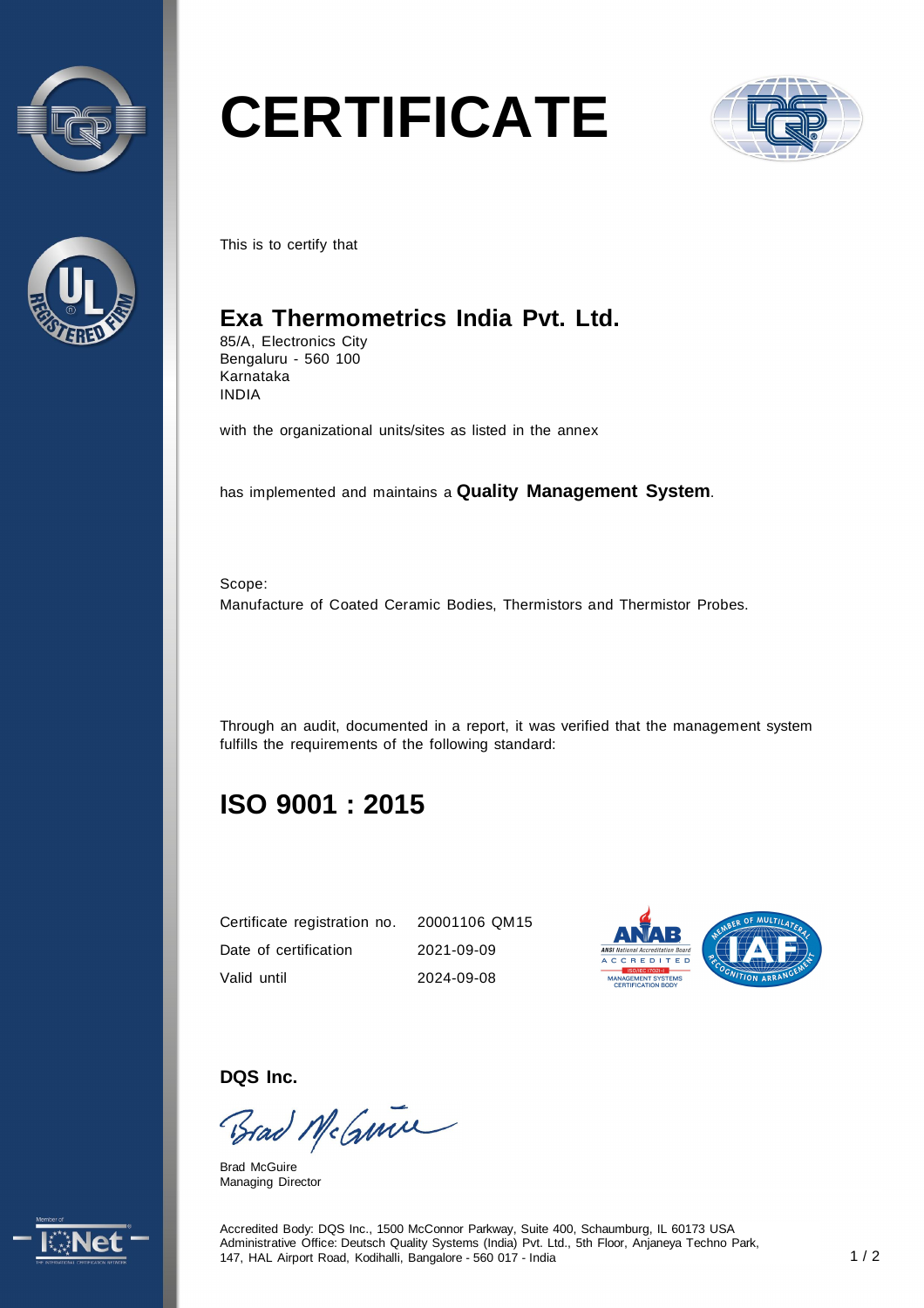



# **CERTIFICATE**



This is to certify that

### **Exa Thermometrics India Pvt. Ltd.**

85/A, Electronics City Bengaluru - 560 100 Karnataka INDIA

with the organizational units/sites as listed in the annex

has implemented and maintains a **Quality Management System**.

Scope: Manufacture of Coated Ceramic Bodies, Thermistors and Thermistor Probes.

Through an audit, documented in a report, it was verified that the management system fulfills the requirements of the following standard:

## **ISO 9001 : 2015**

| Certificate registration no. 20001106 QM15 |            |
|--------------------------------------------|------------|
| Date of certification                      | 2021-09-09 |
| Valid until                                | 2024-09-08 |



**DQS Inc.** 

Brad McGmin

Brad McGuire Managing Director



Accredited Body: DQS Inc., 1500 McConnor Parkway, Suite 400, Schaumburg, IL 60173 USA Administrative Office: Deutsch Quality Systems (India) Pvt. Ltd., 5th Floor, Anjaneya Techno Park, 147, HAL Airport Road, Kodihalli, Bangalore - 560 017 - India 1 / 2